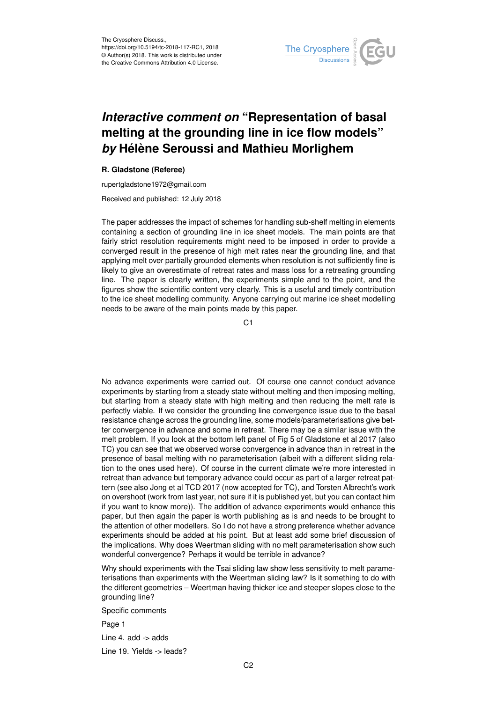

# *Interactive comment on* **"Representation of basal melting at the grounding line in ice flow models"** *by* **Hélène Seroussi and Mathieu Morlighem**

## **R. Gladstone (Referee)**

rupertgladstone1972@gmail.com

Received and published: 12 July 2018

The paper addresses the impact of schemes for handling sub-shelf melting in elements containing a section of grounding line in ice sheet models. The main points are that fairly strict resolution requirements might need to be imposed in order to provide a converged result in the presence of high melt rates near the grounding line, and that applying melt over partially grounded elements when resolution is not sufficiently fine is likely to give an overestimate of retreat rates and mass loss for a retreating grounding line. The paper is clearly written, the experiments simple and to the point, and the figures show the scientific content very clearly. This is a useful and timely contribution to the ice sheet modelling community. Anyone carrying out marine ice sheet modelling needs to be aware of the main points made by this paper.

C<sub>1</sub>

No advance experiments were carried out. Of course one cannot conduct advance experiments by starting from a steady state without melting and then imposing melting, but starting from a steady state with high melting and then reducing the melt rate is perfectly viable. If we consider the grounding line convergence issue due to the basal resistance change across the grounding line, some models/parameterisations give better convergence in advance and some in retreat. There may be a similar issue with the melt problem. If you look at the bottom left panel of Fig 5 of Gladstone et al 2017 (also TC) you can see that we observed worse convergence in advance than in retreat in the presence of basal melting with no parameterisation (albeit with a different sliding relation to the ones used here). Of course in the current climate we're more interested in retreat than advance but temporary advance could occur as part of a larger retreat pattern (see also Jong et al TCD 2017 (now accepted for TC), and Torsten Albrecht's work on overshoot (work from last year, not sure if it is published yet, but you can contact him if you want to know more)). The addition of advance experiments would enhance this paper, but then again the paper is worth publishing as is and needs to be brought to the attention of other modellers. So I do not have a strong preference whether advance experiments should be added at his point. But at least add some brief discussion of the implications. Why does Weertman sliding with no melt parameterisation show such wonderful convergence? Perhaps it would be terrible in advance?

Why should experiments with the Tsai sliding law show less sensitivity to melt parameterisations than experiments with the Weertman sliding law? Is it something to do with the different geometries – Weertman having thicker ice and steeper slopes close to the grounding line?

Specific comments

Page 1

Line 4. add -> adds

Line 19. Yields -> leads?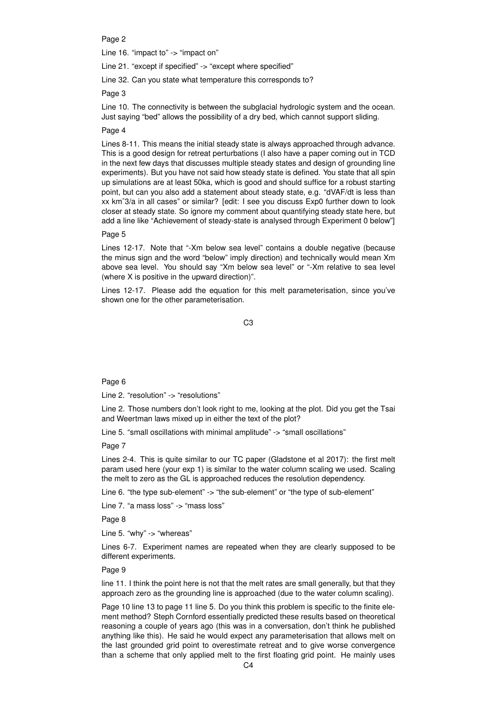Page 2

Line 16. "impact to" -> "impact on"

Line 21. "except if specified" -> "except where specified"

Line 32. Can you state what temperature this corresponds to?

Page 3

Line 10. The connectivity is between the subglacial hydrologic system and the ocean. Just saying "bed" allows the possibility of a dry bed, which cannot support sliding.

#### Page 4

Lines 8-11. This means the initial steady state is always approached through advance. This is a good design for retreat perturbations (I also have a paper coming out in TCD in the next few days that discusses multiple steady states and design of grounding line experiments). But you have not said how steady state is defined. You state that all spin up simulations are at least 50ka, which is good and should suffice for a robust starting point, but can you also add a statement about steady state, e.g. "dVAF/dt is less than xx kmˆ3/a in all cases" or similar? [edit: I see you discuss Exp0 further down to look closer at steady state. So ignore my comment about quantifying steady state here, but add a line like "Achievement of steady-state is analysed through Experiment 0 below"]

### Page 5

Lines 12-17. Note that "-Xm below sea level" contains a double negative (because the minus sign and the word "below" imply direction) and technically would mean Xm above sea level. You should say "Xm below sea level" or "-Xm relative to sea level (where X is positive in the upward direction)".

Lines 12-17. Please add the equation for this melt parameterisation, since you've shown one for the other parameterisation.

C3

#### Page 6

Line 2. "resolution" -> "resolutions"

Line 2. Those numbers don't look right to me, looking at the plot. Did you get the Tsai and Weertman laws mixed up in either the text of the plot?

Line 5. "small oscillations with minimal amplitude" -> "small oscillations"

Page 7

Lines 2-4. This is quite similar to our TC paper (Gladstone et al 2017): the first melt param used here (your exp 1) is similar to the water column scaling we used. Scaling the melt to zero as the GL is approached reduces the resolution dependency.

Line 6. "the type sub-element" -> "the sub-element" or "the type of sub-element"

Line 7. "a mass loss" -> "mass loss"

Page 8

Line 5. "why" -> "whereas"

Lines 6-7. Experiment names are repeated when they are clearly supposed to be different experiments.

### Page 9

line 11. I think the point here is not that the melt rates are small generally, but that they approach zero as the grounding line is approached (due to the water column scaling).

Page 10 line 13 to page 11 line 5. Do you think this problem is specific to the finite element method? Steph Cornford essentially predicted these results based on theoretical reasoning a couple of years ago (this was in a conversation, don't think he published anything like this). He said he would expect any parameterisation that allows melt on the last grounded grid point to overestimate retreat and to give worse convergence than a scheme that only applied melt to the first floating grid point. He mainly uses